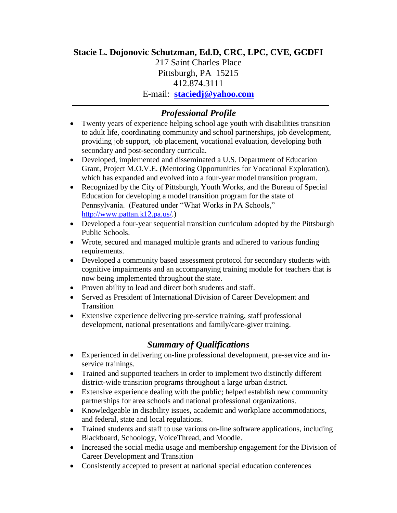# **Stacie L. Dojonovic Schutzman, Ed.D, CRC, LPC, CVE, GCDFI**

217 Saint Charles Place Pittsburgh, PA 15215 412.874.3111 E-mail: **[staciedj@yahoo.com](mailto:staciedj@yahoo.com)**

*Professional Profile*

- Twenty years of experience helping school age youth with disabilities transition to adult life, coordinating community and school partnerships, job development, providing job support, job placement, vocational evaluation, developing both secondary and post-secondary curricula.
- Developed, implemented and disseminated a U.S. Department of Education Grant, Project M.O.V.E. (Mentoring Opportunities for Vocational Exploration), which has expanded and evolved into a four-year model transition program.
- Recognized by the City of Pittsburgh, Youth Works, and the Bureau of Special Education for developing a model transition program for the state of Pennsylvania. (Featured under "What Works in PA Schools," [http://www.pattan.k12.pa.us/.](http://www.pattan.k12.pa.us/))
- Developed a four-year sequential transition curriculum adopted by the Pittsburgh Public Schools.
- Wrote, secured and managed multiple grants and adhered to various funding requirements.
- Developed a community based assessment protocol for secondary students with cognitive impairments and an accompanying training module for teachers that is now being implemented throughout the state.
- Proven ability to lead and direct both students and staff.
- Served as President of International Division of Career Development and Transition
- Extensive experience delivering pre-service training, staff professional development, national presentations and family/care-giver training.

# *Summary of Qualifications*

- Experienced in delivering on-line professional development, pre-service and inservice trainings.
- Trained and supported teachers in order to implement two distinctly different district-wide transition programs throughout a large urban district.
- Extensive experience dealing with the public; helped establish new community partnerships for area schools and national professional organizations.
- Knowledgeable in disability issues, academic and workplace accommodations, and federal, state and local regulations.
- Trained students and staff to use various on-line software applications, including Blackboard, Schoology, VoiceThread, and Moodle.
- Increased the social media usage and membership engagement for the Division of Career Development and Transition
- Consistently accepted to present at national special education conferences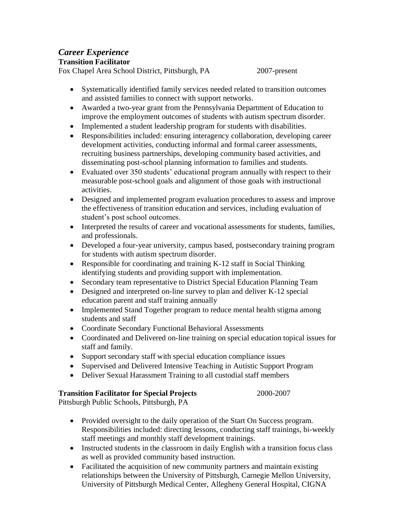# *Career Experience*

# **Transition Facilitator**

Fox Chapel Area School District, Pittsburgh, PA 2007-present

- Systematically identified family services needed related to transition outcomes and assisted families to connect with support networks.
- Awarded a two-year grant from the Pennsylvania Department of Education to improve the employment outcomes of students with autism spectrum disorder.
- Implemented a student leadership program for students with disabilities.
- Responsibilities included: ensuring interagency collaboration, developing career development activities, conducting informal and formal career assessments, recruiting business partnerships, developing community based activities, and disseminating post-school planning information to families and students.
- Evaluated over 350 students' educational program annually with respect to their measurable post-school goals and alignment of those goals with instructional activities.
- Designed and implemented program evaluation procedures to assess and improve the effectiveness of transition education and services, including evaluation of student's post school outcomes.
- Interpreted the results of career and vocational assessments for students, families, and professionals.
- Developed a four-year university, campus based, postsecondary training program for students with autism spectrum disorder.
- Responsible for coordinating and training K-12 staff in Social Thinking identifying students and providing support with implementation.
- Secondary team representative to District Special Education Planning Team
- Designed and interpreted on-line survey to plan and deliver K-12 special education parent and staff training annually
- Implemented Stand Together program to reduce mental health stigma among students and staff
- Coordinate Secondary Functional Behavioral Assessments
- Coordinated and Delivered on-line training on special education topical issues for staff and family.
- Support secondary staff with special education compliance issues
- Supervised and Delivered Intensive Teaching in Autistic Support Program
- Deliver Sexual Harassment Training to all custodial staff members

# **Transition Facilitator for Special Projects** 2000-2007

Pittsburgh Public Schools, Pittsburgh, PA

- Provided oversight to the daily operation of the Start On Success program. Responsibilities included: directing lessons, conducting staff trainings, bi-weekly staff meetings and monthly staff development trainings.
- Instructed students in the classroom in daily English with a transition focus class as well as provided community based instruction.
- Facilitated the acquisition of new community partners and maintain existing relationships between the University of Pittsburgh, Carnegie Mellon University, University of Pittsburgh Medical Center, Allegheny General Hospital, CIGNA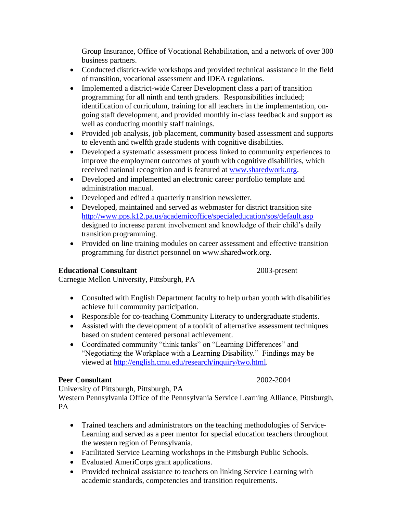Group Insurance, Office of Vocational Rehabilitation, and a network of over 300 business partners.

- Conducted district-wide workshops and provided technical assistance in the field of transition, vocational assessment and IDEA regulations.
- Implemented a district-wide Career Development class a part of transition programming for all ninth and tenth graders. Responsibilities included; identification of curriculum, training for all teachers in the implementation, ongoing staff development, and provided monthly in-class feedback and support as well as conducting monthly staff trainings.
- Provided job analysis, job placement, community based assessment and supports to eleventh and twelfth grade students with cognitive disabilities.
- Developed a systematic assessment process linked to community experiences to improve the employment outcomes of youth with cognitive disabilities, which received national recognition and is featured at [www.sharedwork.org.](http://www.sharedwork.org/)
- Developed and implemented an electronic career portfolio template and administration manual.
- Developed and edited a quarterly transition newsletter.
- Developed, maintained and served as webmaster for district transition site <http://www.pps.k12.pa.us/academicoffice/specialeducation/sos/default.asp> designed to increase parent involvement and knowledge of their child's daily transition programming.
- Provided on line training modules on career assessment and effective transition programming for district personnel on www.sharedwork.org.

# **Educational Consultant** 2003-present

Carnegie Mellon University, Pittsburgh, PA

- Consulted with English Department faculty to help urban youth with disabilities achieve full community participation.
- Responsible for co-teaching Community Literacy to undergraduate students.
- Assisted with the development of a toolkit of alternative assessment techniques based on student centered personal achievement.
- Coordinated community "think tanks" on "Learning Differences" and "Negotiating the Workplace with a Learning Disability." Findings may be viewed at [http://english.cmu.edu/research/inquiry/two.html.](http://english.cmu.edu/research/inquiry/two.html)

# **Peer Consultant** 2002-2004

University of Pittsburgh, Pittsburgh, PA Western Pennsylvania Office of the Pennsylvania Service Learning Alliance, Pittsburgh,

PA

- Trained teachers and administrators on the teaching methodologies of Service-Learning and served as a peer mentor for special education teachers throughout the western region of Pennsylvania.
- Facilitated Service Learning workshops in the Pittsburgh Public Schools.
- Evaluated AmeriCorps grant applications.
- Provided technical assistance to teachers on linking Service Learning with academic standards, competencies and transition requirements.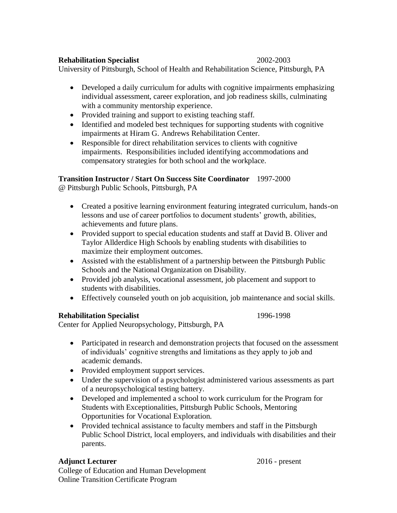#### **Rehabilitation Specialist** 2002-2003

University of Pittsburgh, School of Health and Rehabilitation Science, Pittsburgh, PA

- Developed a daily curriculum for adults with cognitive impairments emphasizing individual assessment, career exploration, and job readiness skills, culminating with a community mentorship experience.
- Provided training and support to existing teaching staff.
- Identified and modeled best techniques for supporting students with cognitive impairments at Hiram G. Andrews Rehabilitation Center.
- Responsible for direct rehabilitation services to clients with cognitive impairments. Responsibilities included identifying accommodations and compensatory strategies for both school and the workplace.

# **Transition Instructor / Start On Success Site Coordinator** 1997-2000

@ Pittsburgh Public Schools, Pittsburgh, PA

- Created a positive learning environment featuring integrated curriculum, hands-on lessons and use of career portfolios to document students' growth, abilities, achievements and future plans.
- Provided support to special education students and staff at David B. Oliver and Taylor Allderdice High Schools by enabling students with disabilities to maximize their employment outcomes.
- Assisted with the establishment of a partnership between the Pittsburgh Public Schools and the National Organization on Disability.
- Provided job analysis, vocational assessment, job placement and support to students with disabilities.
- Effectively counseled youth on job acquisition, job maintenance and social skills.

# **Rehabilitation Specialist** 1996-1998

Center for Applied Neuropsychology, Pittsburgh, PA

- Participated in research and demonstration projects that focused on the assessment of individuals' cognitive strengths and limitations as they apply to job and academic demands.
- Provided employment support services.
- Under the supervision of a psychologist administered various assessments as part of a neuropsychological testing battery.
- Developed and implemented a school to work curriculum for the Program for Students with Exceptionalities, Pittsburgh Public Schools, Mentoring Opportunities for Vocational Exploration.
- Provided technical assistance to faculty members and staff in the Pittsburgh Public School District, local employers, and individuals with disabilities and their parents.

# **Adjunct Lecturer** 2016 - present

College of Education and Human Development Online Transition Certificate Program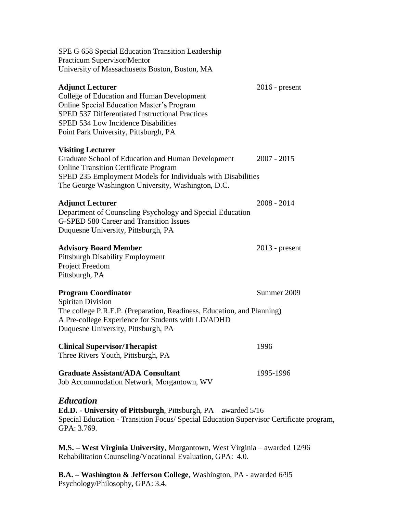| SPE G 658 Special Education Transition Leadership                                                                                                                                                                                                                          |                  |
|----------------------------------------------------------------------------------------------------------------------------------------------------------------------------------------------------------------------------------------------------------------------------|------------------|
| <b>Practicum Supervisor/Mentor</b><br>University of Massachusetts Boston, Boston, MA                                                                                                                                                                                       |                  |
|                                                                                                                                                                                                                                                                            |                  |
| <b>Adjunct Lecturer</b><br><b>College of Education and Human Development</b><br><b>Online Special Education Master's Program</b><br>SPED 537 Differentiated Instructional Practices<br><b>SPED 534 Low Incidence Disabilities</b><br>Point Park University, Pittsburgh, PA | $2016$ - present |
| <b>Visiting Lecturer</b><br>Graduate School of Education and Human Development<br><b>Online Transition Certificate Program</b><br>SPED 235 Employment Models for Individuals with Disabilities<br>The George Washington University, Washington, D.C.                       | $2007 - 2015$    |
| <b>Adjunct Lecturer</b><br>Department of Counseling Psychology and Special Education<br><b>G-SPED 580 Career and Transition Issues</b><br>Duquesne University, Pittsburgh, PA                                                                                              | $2008 - 2014$    |
| <b>Advisory Board Member</b><br><b>Pittsburgh Disability Employment</b><br>Project Freedom<br>Pittsburgh, PA                                                                                                                                                               | $2013$ - present |
| <b>Program Coordinator</b>                                                                                                                                                                                                                                                 | Summer 2009      |
| <b>Spiritan Division</b><br>The college P.R.E.P. (Preparation, Readiness, Education, and Planning)<br>A Pre-college Experience for Students with LD/ADHD<br>Duquesne University, Pittsburgh, PA                                                                            |                  |
| <b>Clinical Supervisor/Therapist</b><br>Three Rivers Youth, Pittsburgh, PA                                                                                                                                                                                                 | 1996             |
| <b>Graduate Assistant/ADA Consultant</b><br>Job Accommodation Network, Morgantown, WV                                                                                                                                                                                      | 1995-1996        |
| Education<br><b>Ed.D.</b> - University of Pittsburgh, Pittsburgh, PA – awarded 5/16<br>Special Education - Transition Focus/ Special Education Supervisor Certificate program,<br>GPA: 3.769.                                                                              |                  |
|                                                                                                                                                                                                                                                                            |                  |

**M.S. – West Virginia University**, Morgantown, West Virginia – awarded 12/96 Rehabilitation Counseling/Vocational Evaluation, GPA: 4.0.

**B.A. – Washington & Jefferson College**, Washington, PA - awarded 6/95 Psychology/Philosophy, GPA: 3.4.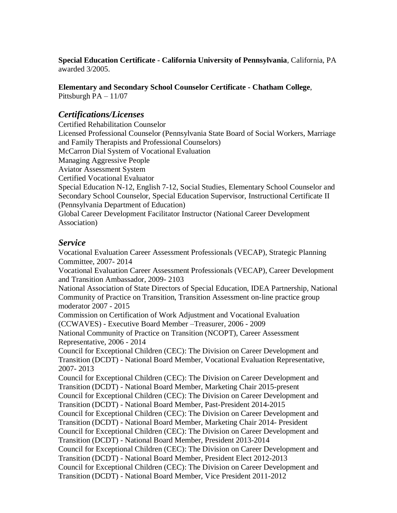**Special Education Certificate - California University of Pennsylvania**, California, PA awarded 3/2005.

**Elementary and Secondary School Counselor Certificate - Chatham College**,

Pittsburgh PA – 11/07

# *Certifications/Licenses*

Certified Rehabilitation Counselor Licensed Professional Counselor (Pennsylvania State Board of Social Workers, Marriage and Family Therapists and Professional Counselors) McCarron Dial System of Vocational Evaluation Managing Aggressive People Aviator Assessment System Certified Vocational Evaluator Special Education N-12, English 7-12, Social Studies, Elementary School Counselor and Secondary School Counselor, Special Education Supervisor, Instructional Certificate II (Pennsylvania Department of Education) Global Career Development Facilitator Instructor (National Career Development Association)

# *Service*

Vocational Evaluation Career Assessment Professionals (VECAP), Strategic Planning Committee, 2007- 2014 Vocational Evaluation Career Assessment Professionals (VECAP), Career Development and Transition Ambassador, 2009- 2103 National Association of State Directors of Special Education, IDEA Partnership, National Community of Practice on Transition, Transition Assessment on-line practice group moderator 2007 - 2015 Commission on Certification of Work Adjustment and Vocational Evaluation (CCWAVES) - Executive Board Member –Treasurer, 2006 - 2009 National Community of Practice on Transition (NCOPT), Career Assessment Representative, 2006 - 2014 Council for Exceptional Children (CEC): The Division on Career Development and Transition (DCDT) - National Board Member, Vocational Evaluation Representative, 2007- 2013 Council for Exceptional Children (CEC): The Division on Career Development and Transition (DCDT) - National Board Member, Marketing Chair 2015-present Council for Exceptional Children (CEC): The Division on Career Development and Transition (DCDT) - National Board Member, Past-President 2014-2015 Council for Exceptional Children (CEC): The Division on Career Development and Transition (DCDT) - National Board Member, Marketing Chair 2014- President Council for Exceptional Children (CEC): The Division on Career Development and Transition (DCDT) - National Board Member, President 2013-2014 Council for Exceptional Children (CEC): The Division on Career Development and Transition (DCDT) - National Board Member, President Elect 2012-2013 Council for Exceptional Children (CEC): The Division on Career Development and Transition (DCDT) - National Board Member, Vice President 2011-2012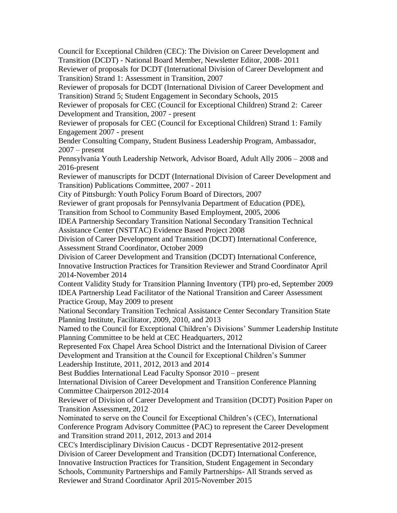Council for Exceptional Children (CEC): The Division on Career Development and Transition (DCDT) - National Board Member, Newsletter Editor, 2008- 2011 Reviewer of proposals for DCDT (International Division of Career Development and Transition) Strand 1: Assessment in Transition, 2007 Reviewer of proposals for DCDT (International Division of Career Development and Transition) Strand 5; Student Engagement in Secondary Schools, 2015 Reviewer of proposals for CEC (Council for Exceptional Children) Strand 2: Career Development and Transition, 2007 - present Reviewer of proposals for CEC (Council for Exceptional Children) Strand 1: Family Engagement 2007 - present Bender Consulting Company, Student Business Leadership Program, Ambassador,  $2007$  – present Pennsylvania Youth Leadership Network, Advisor Board, Adult Ally 2006 – 2008 and 2016-present Reviewer of manuscripts for DCDT (International Division of Career Development and Transition) Publications Committee, 2007 - 2011 City of Pittsburgh: Youth Policy Forum Board of Directors, 2007 Reviewer of grant proposals for Pennsylvania Department of Education (PDE), Transition from School to Community Based Employment, 2005, 2006 IDEA Partnership Secondary Transition National Secondary Transition Technical Assistance Center (NSTTAC) Evidence Based Project 2008 Division of Career Development and Transition (DCDT) International Conference, Assessment Strand Coordinator, October 2009 Division of Career Development and Transition (DCDT) International Conference, Innovative Instruction Practices for Transition Reviewer and Strand Coordinator April 2014-November 2014 Content Validity Study for Transition Planning Inventory (TPI) pro-ed, September 2009 IDEA Partnership Lead Facilitator of the National Transition and Career Assessment Practice Group, May 2009 to present National Secondary Transition Technical Assistance Center Secondary Transition State Planning Institute, Facilitator, 2009, 2010, and 2013 Named to the Council for Exceptional Children's Divisions' Summer Leadership Institute Planning Committee to be held at CEC Headquarters, 2012 Represented Fox Chapel Area School District and the International Division of Career Development and Transition at the Council for Exceptional Children's Summer Leadership Institute, 2011, 2012, 2013 and 2014 Best Buddies International Lead Faculty Sponsor 2010 – present International Division of Career Development and Transition Conference Planning Committee Chairperson 2012-2014 Reviewer of Division of Career Development and Transition (DCDT) Position Paper on Transition Assessment, 2012 Nominated to serve on the Council for Exceptional Children's (CEC), International Conference Program Advisory Committee (PAC) to represent the Career Development and Transition strand 2011, 2012, 2013 and 2014 CEC's Interdisciplinary Division Caucus - DCDT Representative 2012-present Division of Career Development and Transition (DCDT) International Conference, Innovative Instruction Practices for Transition, Student Engagement in Secondary Schools, Community Partnerships and Family Partnerships- All Strands served as Reviewer and Strand Coordinator April 2015-November 2015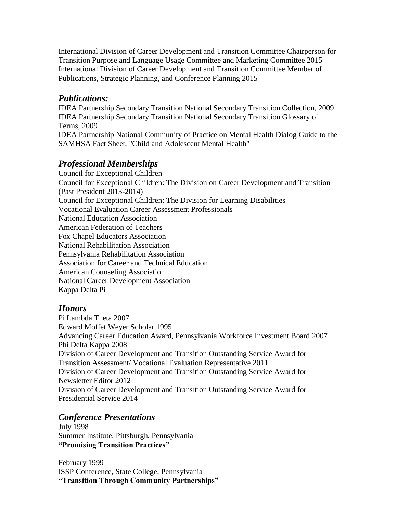International Division of Career Development and Transition Committee Chairperson for Transition Purpose and Language Usage Committee and Marketing Committee 2015 International Division of Career Development and Transition Committee Member of Publications, Strategic Planning, and Conference Planning 2015

# *Publications:*

IDEA Partnership Secondary Transition National Secondary Transition Collection, 2009 IDEA Partnership Secondary Transition National Secondary Transition Glossary of Terms, 2009 IDEA Partnership National Community of Practice on Mental Health Dialog Guide to the SAMHSA Fact Sheet, "Child and Adolescent Mental Health"

# *Professional Memberships*

Council for Exceptional Children Council for Exceptional Children: The Division on Career Development and Transition (Past President 2013-2014) Council for Exceptional Children: The Division for Learning Disabilities Vocational Evaluation Career Assessment Professionals National Education Association American Federation of Teachers Fox Chapel Educators Association National Rehabilitation Association Pennsylvania Rehabilitation Association Association for Career and Technical Education American Counseling Association National Career Development Association Kappa Delta Pi

# *Honors*

Pi Lambda Theta 2007 Edward Moffet Weyer Scholar 1995 Advancing Career Education Award, Pennsylvania Workforce Investment Board 2007 Phi Delta Kappa 2008 Division of Career Development and Transition Outstanding Service Award for Transition Assessment/ Vocational Evaluation Representative 2011 Division of Career Development and Transition Outstanding Service Award for Newsletter Editor 2012 Division of Career Development and Transition Outstanding Service Award for Presidential Service 2014

# *Conference Presentations*

July 1998 Summer Institute, Pittsburgh, Pennsylvania **"Promising Transition Practices"**

February 1999 ISSP Conference, State College, Pennsylvania **"Transition Through Community Partnerships"**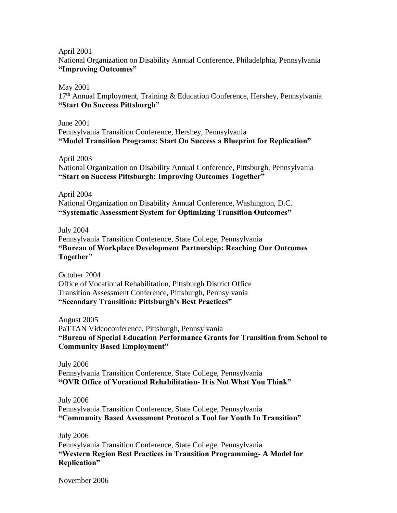April 2001

National Organization on Disability Annual Conference, Philadelphia, Pennsylvania **"Improving Outcomes"**

May 2001

17<sup>th</sup> Annual Employment, Training & Education Conference, Hershey, Pennsylvania **"Start On Success Pittsburgh"**

June 2001 Pennsylvania Transition Conference, Hershey, Pennsylvania **"Model Transition Programs: Start On Success a Blueprint for Replication"**

April 2003

National Organization on Disability Annual Conference, Pittsburgh, Pennsylvania **"Start on Success Pittsburgh: Improving Outcomes Together"**

April 2004 National Organization on Disability Annual Conference, Washington, D.C. **"Systematic Assessment System for Optimizing Transition Outcomes"**

July 2004

Pennsylvania Transition Conference, State College, Pennsylvania **"Bureau of Workplace Development Partnership: Reaching Our Outcomes Together"**

October 2004 Office of Vocational Rehabilitation, Pittsburgh District Office Transition Assessment Conference, Pittsburgh, Pennsylvania **"Secondary Transition: Pittsburgh's Best Practices"**

August 2005 PaTTAN Videoconference, Pittsburgh, Pennsylvania **"Bureau of Special Education Performance Grants for Transition from School to Community Based Employment"**

July 2006 Pennsylvania Transition Conference, State College, Pennsylvania **"OVR Office of Vocational Rehabilitation- It is Not What You Think"**

July 2006 Pennsylvania Transition Conference, State College, Pennsylvania **"Community Based Assessment Protocol a Tool for Youth In Transition"**

July 2006 Pennsylvania Transition Conference, State College, Pennsylvania **"Western Region Best Practices in Transition Programming- A Model for Replication"**

November 2006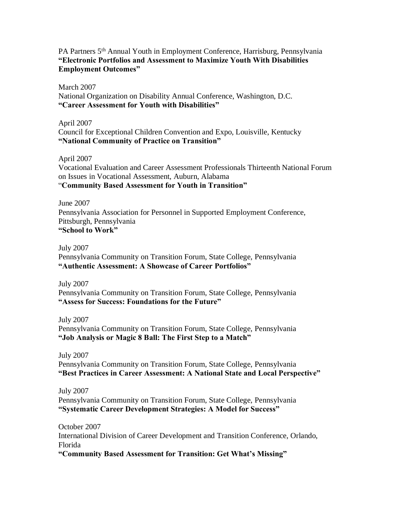#### PA Partners 5th Annual Youth in Employment Conference, Harrisburg, Pennsylvania **"Electronic Portfolios and Assessment to Maximize Youth With Disabilities Employment Outcomes"**

March 2007 National Organization on Disability Annual Conference, Washington, D.C. **"Career Assessment for Youth with Disabilities"**

April 2007 Council for Exceptional Children Convention and Expo, Louisville, Kentucky **"National Community of Practice on Transition"**

April 2007 Vocational Evaluation and Career Assessment Professionals Thirteenth National Forum on Issues in Vocational Assessment, Auburn, Alabama "**Community Based Assessment for Youth in Transition"**

June 2007 Pennsylvania Association for Personnel in Supported Employment Conference, Pittsburgh, Pennsylvania **"School to Work"**

July 2007 Pennsylvania Community on Transition Forum, State College, Pennsylvania **"Authentic Assessment: A Showcase of Career Portfolios"**

July 2007 Pennsylvania Community on Transition Forum, State College, Pennsylvania **"Assess for Success: Foundations for the Future"**

July 2007 Pennsylvania Community on Transition Forum, State College, Pennsylvania **"Job Analysis or Magic 8 Ball: The First Step to a Match"**

July 2007 Pennsylvania Community on Transition Forum, State College, Pennsylvania **"Best Practices in Career Assessment: A National State and Local Perspective"**

July 2007 Pennsylvania Community on Transition Forum, State College, Pennsylvania **"Systematic Career Development Strategies: A Model for Success"**

October 2007 International Division of Career Development and Transition Conference, Orlando, Florida **"Community Based Assessment for Transition: Get What's Missing"**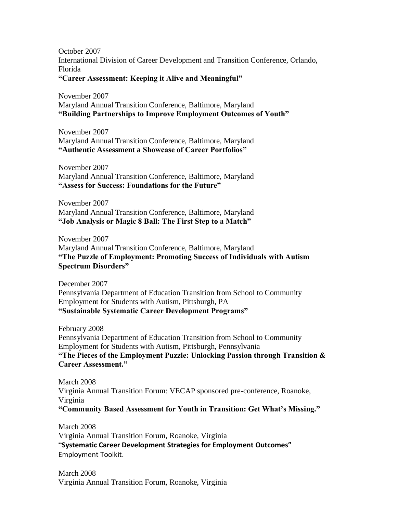October 2007 International Division of Career Development and Transition Conference, Orlando, Florida **"Career Assessment: Keeping it Alive and Meaningful"**

November 2007 Maryland Annual Transition Conference, Baltimore, Maryland **"Building Partnerships to Improve Employment Outcomes of Youth"**

November 2007 Maryland Annual Transition Conference, Baltimore, Maryland **"Authentic Assessment a Showcase of Career Portfolios"**

November 2007 Maryland Annual Transition Conference, Baltimore, Maryland **"Assess for Success: Foundations for the Future"**

November 2007 Maryland Annual Transition Conference, Baltimore, Maryland **"Job Analysis or Magic 8 Ball: The First Step to a Match"**

November 2007 Maryland Annual Transition Conference, Baltimore, Maryland **"The Puzzle of Employment: Promoting Success of Individuals with Autism Spectrum Disorders"**

December 2007 Pennsylvania Department of Education Transition from School to Community Employment for Students with Autism, Pittsburgh, PA **"Sustainable Systematic Career Development Programs"**

February 2008 Pennsylvania Department of Education Transition from School to Community Employment for Students with Autism, Pittsburgh, Pennsylvania **"The Pieces of the Employment Puzzle: Unlocking Passion through Transition & Career Assessment."**

March 2008 Virginia Annual Transition Forum: VECAP sponsored pre-conference, Roanoke, Virginia **"Community Based Assessment for Youth in Transition: Get What's Missing."**

March 2008 Virginia Annual Transition Forum, Roanoke, Virginia "**Systematic Career Development Strategies for Employment Outcomes"** Employment Toolkit.

March 2008 Virginia Annual Transition Forum, Roanoke, Virginia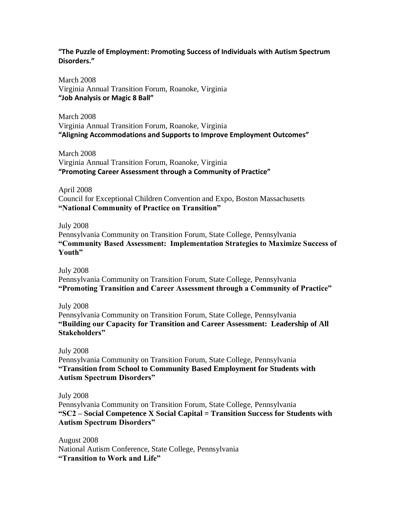#### **"The Puzzle of Employment: Promoting Success of Individuals with Autism Spectrum Disorders."**

March 2008 Virginia Annual Transition Forum, Roanoke, Virginia **"Job Analysis or Magic 8 Ball"**

March 2008 Virginia Annual Transition Forum, Roanoke, Virginia **"Aligning Accommodations and Supports to Improve Employment Outcomes"**

March 2008 Virginia Annual Transition Forum, Roanoke, Virginia **"Promoting Career Assessment through a Community of Practice"**

April 2008 Council for Exceptional Children Convention and Expo, Boston Massachusetts **"National Community of Practice on Transition"**

July 2008 Pennsylvania Community on Transition Forum, State College, Pennsylvania **"Community Based Assessment: Implementation Strategies to Maximize Success of Youth"**

July 2008 Pennsylvania Community on Transition Forum, State College, Pennsylvania **"Promoting Transition and Career Assessment through a Community of Practice"**

July 2008 Pennsylvania Community on Transition Forum, State College, Pennsylvania **"Building our Capacity for Transition and Career Assessment: Leadership of All Stakeholders"**

July 2008 Pennsylvania Community on Transition Forum, State College, Pennsylvania **"Transition from School to Community Based Employment for Students with Autism Spectrum Disorders"**

July 2008 Pennsylvania Community on Transition Forum, State College, Pennsylvania **"SC2 – Social Competence X Social Capital = Transition Success for Students with Autism Spectrum Disorders"**

August 2008 National Autism Conference, State College, Pennsylvania **"Transition to Work and Life"**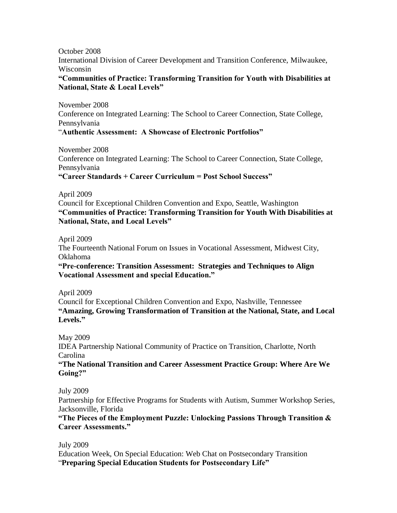October 2008 International Division of Career Development and Transition Conference, Milwaukee, Wisconsin **"Communities of Practice: Transforming Transition for Youth with Disabilities at** 

# **National, State & Local Levels"**

November 2008 Conference on Integrated Learning: The School to Career Connection, State College, Pennsylvania "**Authentic Assessment: A Showcase of Electronic Portfolios"**

November 2008 Conference on Integrated Learning: The School to Career Connection, State College, Pennsylvania **"Career Standards + Career Curriculum = Post School Success"**

April 2009

Council for Exceptional Children Convention and Expo, Seattle, Washington **"Communities of Practice: Transforming Transition for Youth With Disabilities at National, State, and Local Levels"**

April 2009

The Fourteenth National Forum on Issues in Vocational Assessment, Midwest City, Oklahoma

**"Pre-conference: Transition Assessment: Strategies and Techniques to Align Vocational Assessment and special Education."**

April 2009

Council for Exceptional Children Convention and Expo, Nashville, Tennessee **"Amazing, Growing Transformation of Transition at the National, State, and Local Levels."**

May 2009

IDEA Partnership National Community of Practice on Transition, Charlotte, North Carolina

**"The National Transition and Career Assessment Practice Group: Where Are We Going?"**

July 2009

Partnership for Effective Programs for Students with Autism, Summer Workshop Series, Jacksonville, Florida

# **"The Pieces of the Employment Puzzle: Unlocking Passions Through Transition & Career Assessments."**

July 2009 Education Week, On Special Education: Web Chat on Postsecondary Transition "**Preparing Special Education Students for Postsecondary Life"**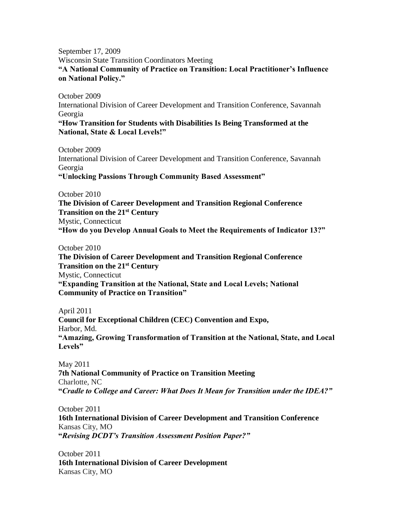September 17, 2009 Wisconsin State Transition Coordinators Meeting

**"A National Community of Practice on Transition: Local Practitioner's Influence on National Policy."**

October 2009

International Division of Career Development and Transition Conference, Savannah Georgia

#### **"How Transition for Students with Disabilities Is Being Transformed at the National, State & Local Levels!"**

October 2009 International Division of Career Development and Transition Conference, Savannah Georgia **"Unlocking Passions Through Community Based Assessment"**

October 2010

**The Division of Career Development and Transition Regional Conference Transition on the 21st Century** Mystic, Connecticut **"How do you Develop Annual Goals to Meet the Requirements of Indicator 13?"**

October 2010 **The Division of Career Development and Transition Regional Conference Transition on the 21st Century** Mystic, Connecticut **"Expanding Transition at the National, State and Local Levels; National Community of Practice on Transition"**

April 2011 **Council for Exceptional Children (CEC) Convention and Expo,**  Harbor, Md. **"Amazing, Growing Transformation of Transition at the National, State, and Local Levels"**

May 2011 **7th National Community of Practice on Transition Meeting**  Charlotte, NC **"***Cradle to College and Career: What Does It Mean for Transition under the IDEA?"*

October 2011

**16th International Division of Career Development and Transition Conference** Kansas City, MO **"***Revising DCDT's Transition Assessment Position Paper?"*

October 2011 **16th International Division of Career Development**  Kansas City, MO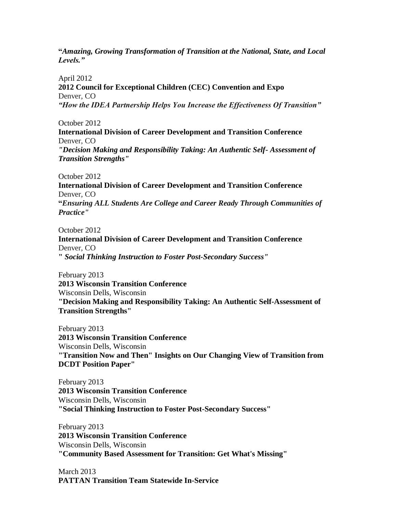**"***Amazing, Growing Transformation of Transition at the National, State, and Local Levels."*

April 2012 **2012 Council for Exceptional Children (CEC) Convention and Expo** Denver, CO *"How the IDEA Partnership Helps You Increase the Effectiveness Of Transition"*

October 2012

**International Division of Career Development and Transition Conference** Denver, CO

*"Decision Making and Responsibility Taking: An Authentic Self- Assessment of Transition Strengths"*

October 2012 **International Division of Career Development and Transition Conference** Denver, CO **"***Ensuring ALL Students Are College and Career Ready Through Communities of Practice"*

October 2012 **International Division of Career Development and Transition Conference** Denver, CO **"** *Social Thinking Instruction to Foster Post-Secondary Success"*

February 2013 **2013 Wisconsin Transition Conference** Wisconsin Dells, Wisconsin **"Decision Making and Responsibility Taking: An Authentic Self-Assessment of Transition Strengths"**

February 2013 **2013 Wisconsin Transition Conference** Wisconsin Dells, Wisconsin **"Transition Now and Then" Insights on Our Changing View of Transition from DCDT Position Paper"**

February 2013 **2013 Wisconsin Transition Conference** Wisconsin Dells, Wisconsin **"Social Thinking Instruction to Foster Post-Secondary Success"**

February 2013 **2013 Wisconsin Transition Conference** Wisconsin Dells, Wisconsin **"Community Based Assessment for Transition: Get What's Missing"**

March 2013 **PATTAN Transition Team Statewide In-Service**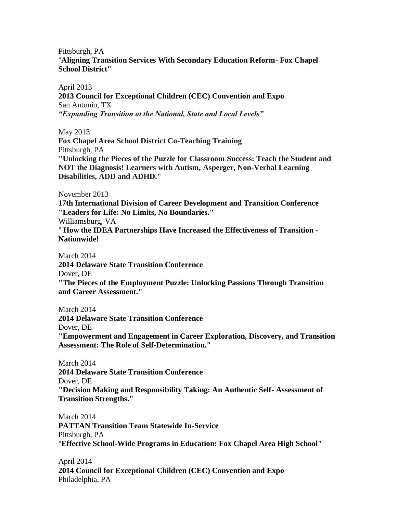Pittsburgh, PA

"**Aligning Transition Services With Secondary Education Reform- Fox Chapel School District"**

April 2013

**2013 Council for Exceptional Children (CEC) Convention and Expo** San Antonio, TX *"Expanding Transition at the National, State and Local Levels"*

May 2013

**Fox Chapel Area School District Co-Teaching Training** Pittsburgh, PA **"Unlocking the Pieces of the Puzzle for Classroom Success: Teach the Student and** 

**NOT the Diagnosis! Learners with Autism, Asperger, Non-Verbal Learning Disabilities, ADD and ADHD."**

November 2013

**17th International Division of Career Development and Transition Conference "Leaders for Life: No Limits, No Boundaries."** Williamsburg, VA " **How the IDEA Partnerships Have Increased the Effectiveness of Transition - Nationwide!**

March 2014 **2014 Delaware State Transition Conference** Dover, DE **"The Pieces of the Employment Puzzle: Unlocking Passions Through Transition and Career Assessment."**

March 2014 **2014 Delaware State Transition Conference** Dover, DE **"Empowerment and Engagement in Career Exploration, Discovery, and Transition Assessment: The Role of Self-Determination."**

March 2014 **2014 Delaware State Transition Conference** Dover, DE **"Decision Making and Responsibility Taking: An Authentic Self- Assessment of Transition Strengths."**

March 2014 **PATTAN Transition Team Statewide In-Service** Pittsburgh, PA "**Effective School-Wide Programs in Education: Fox Chapel Area High School"**

April 2014 **2014 Council for Exceptional Children (CEC) Convention and Expo** Philadelphia, PA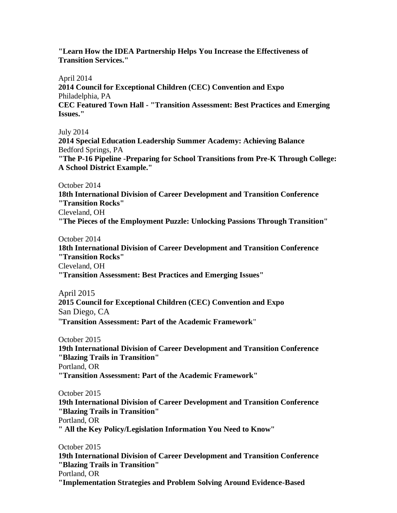**"Learn How the IDEA Partnership Helps You Increase the Effectiveness of Transition Services."**

April 2014 **2014 Council for Exceptional Children (CEC) Convention and Expo** Philadelphia, PA **CEC Featured Town Hall - "Transition Assessment: Best Practices and Emerging Issues."**

July 2014

**2014 Special Education Leadership Summer Academy: Achieving Balance** Bedford Springs, PA

**"The P-16 Pipeline -Preparing for School Transitions from Pre-K Through College: A School District Example."**

October 2014

**18th International Division of Career Development and Transition Conference "Transition Rocks"**

Cleveland, OH

**"The Pieces of the Employment Puzzle: Unlocking Passions Through Transition"** 

October 2014

**18th International Division of Career Development and Transition Conference "Transition Rocks"** Cleveland, OH

**"Transition Assessment: Best Practices and Emerging Issues"**

April 2015 **2015 Council for Exceptional Children (CEC) Convention and Expo** San Diego, CA "**[Transition Assessment: Part of the Academic Framework](https://ww3.aievolution.com/cec1501/index.cfm?do=ev.viewEv&ev=3085)**"

October 2015 **19th International Division of Career Development and Transition Conference "Blazing Trails in Transition"** Portland, OR **"Transition Assessment: Part of the Academic Framework"**

October 2015

**19th International Division of Career Development and Transition Conference "Blazing Trails in Transition"** Portland, OR **" All the Key Policy/Legislation Information You Need to Know"**

October 2015

**19th International Division of Career Development and Transition Conference "Blazing Trails in Transition"** Portland, OR **"Implementation Strategies and Problem Solving Around Evidence-Based**